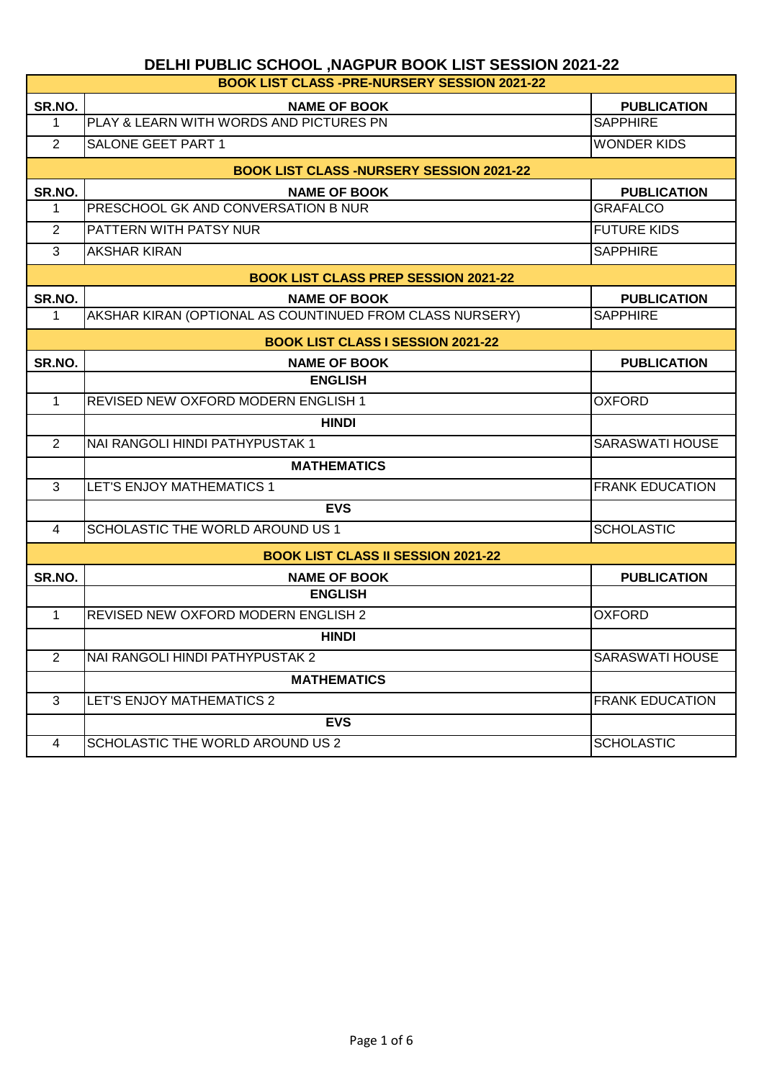| <b>BOOK LIST CLASS -PRE-NURSERY SESSION 2021-22</b> |                                                          |                        |  |
|-----------------------------------------------------|----------------------------------------------------------|------------------------|--|
| SR.NO.                                              | <b>NAME OF BOOK</b>                                      | <b>PUBLICATION</b>     |  |
| $\mathbf{1}$                                        | PLAY & LEARN WITH WORDS AND PICTURES PN                  | <b>SAPPHIRE</b>        |  |
| 2                                                   | <b>SALONE GEET PART 1</b>                                | <b>WONDER KIDS</b>     |  |
|                                                     | <b>BOOK LIST CLASS -NURSERY SESSION 2021-22</b>          |                        |  |
| SR.NO.                                              | <b>NAME OF BOOK</b>                                      | <b>PUBLICATION</b>     |  |
| 1                                                   | PRESCHOOL GK AND CONVERSATION B NUR                      | <b>GRAFALCO</b>        |  |
| 2                                                   | PATTERN WITH PATSY NUR                                   | <b>FUTURE KIDS</b>     |  |
| 3                                                   | <b>AKSHAR KIRAN</b>                                      | <b>SAPPHIRE</b>        |  |
|                                                     | <b>BOOK LIST CLASS PREP SESSION 2021-22</b>              |                        |  |
| SR.NO.                                              | <b>NAME OF BOOK</b>                                      | <b>PUBLICATION</b>     |  |
| $\mathbf 1$                                         | AKSHAR KIRAN (OPTIONAL AS COUNTINUED FROM CLASS NURSERY) | <b>SAPPHIRE</b>        |  |
|                                                     | <b>BOOK LIST CLASS I SESSION 2021-22</b>                 |                        |  |
| SR.NO.                                              | <b>NAME OF BOOK</b>                                      | <b>PUBLICATION</b>     |  |
|                                                     | <b>ENGLISH</b>                                           |                        |  |
| $\mathbf{1}$                                        | <b>REVISED NEW OXFORD MODERN ENGLISH 1</b>               | <b>OXFORD</b>          |  |
|                                                     | <b>HINDI</b>                                             |                        |  |
| $\overline{2}$                                      | NAI RANGOLI HINDI PATHYPUSTAK 1                          | <b>SARASWATI HOUSE</b> |  |
|                                                     | <b>MATHEMATICS</b>                                       |                        |  |
| 3                                                   | LET'S ENJOY MATHEMATICS 1                                | <b>FRANK EDUCATION</b> |  |
|                                                     | <b>EVS</b>                                               |                        |  |
| $\overline{4}$                                      | <b>SCHOLASTIC THE WORLD AROUND US 1</b>                  | <b>SCHOLASTIC</b>      |  |
|                                                     | <b>BOOK LIST CLASS II SESSION 2021-22</b>                |                        |  |
| SR.NO.                                              | <b>NAME OF BOOK</b>                                      | <b>PUBLICATION</b>     |  |
|                                                     | <b>ENGLISH</b>                                           |                        |  |
| $\mathbf{1}$                                        | <b>REVISED NEW OXFORD MODERN ENGLISH 2</b>               | <b>OXFORD</b>          |  |
|                                                     | <b>HINDI</b>                                             |                        |  |
| 2                                                   | NAI RANGOLI HINDI PATHYPUSTAK 2                          | SARASWATI HOUSE        |  |
|                                                     | <b>MATHEMATICS</b>                                       |                        |  |
| 3                                                   | LET'S ENJOY MATHEMATICS 2                                | <b>FRANK EDUCATION</b> |  |
|                                                     | <b>EVS</b>                                               |                        |  |
| 4                                                   | SCHOLASTIC THE WORLD AROUND US 2                         | <b>SCHOLASTIC</b>      |  |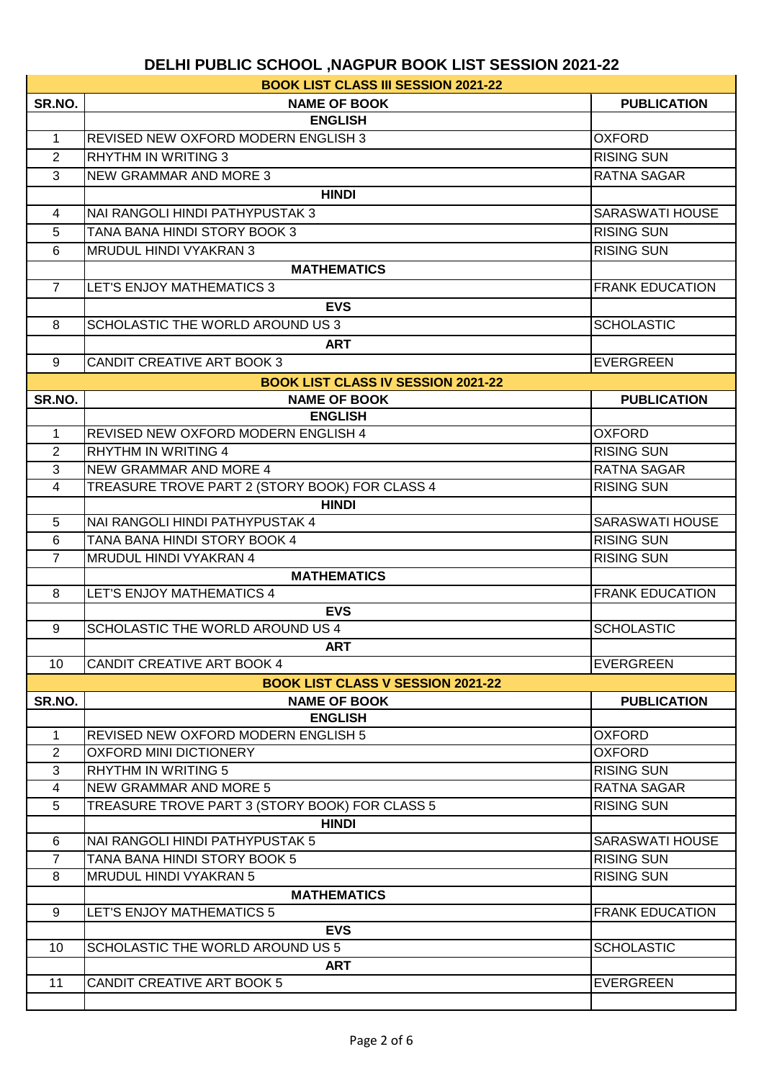|                | <b>BOOK LIST CLASS III SESSION 2021-22</b>     |                        |
|----------------|------------------------------------------------|------------------------|
| SR.NO.         | <b>NAME OF BOOK</b>                            | <b>PUBLICATION</b>     |
|                | <b>ENGLISH</b>                                 |                        |
| $\mathbf{1}$   | REVISED NEW OXFORD MODERN ENGLISH 3            | <b>OXFORD</b>          |
| 2              | <b>RHYTHM IN WRITING 3</b>                     | <b>RISING SUN</b>      |
| 3              | <b>NEW GRAMMAR AND MORE 3</b>                  | RATNA SAGAR            |
|                | <b>HINDI</b>                                   |                        |
| 4              | NAI RANGOLI HINDI PATHYPUSTAK 3                | <b>SARASWATI HOUSE</b> |
| 5              | TANA BANA HINDI STORY BOOK 3                   | <b>RISING SUN</b>      |
| 6              | MRUDUL HINDI VYAKRAN 3                         | <b>RISING SUN</b>      |
|                | <b>MATHEMATICS</b>                             |                        |
| $7^{\circ}$    | LET'S ENJOY MATHEMATICS 3                      | <b>FRANK EDUCATION</b> |
|                | <b>EVS</b>                                     |                        |
|                | SCHOLASTIC THE WORLD AROUND US 3               | <b>SCHOLASTIC</b>      |
| 8              |                                                |                        |
|                | <b>ART</b>                                     |                        |
| 9              | <b>CANDIT CREATIVE ART BOOK 3</b>              | <b>EVERGREEN</b>       |
|                | <b>BOOK LIST CLASS IV SESSION 2021-22</b>      |                        |
| SR.NO.         | <b>NAME OF BOOK</b>                            | <b>PUBLICATION</b>     |
|                | <b>ENGLISH</b>                                 |                        |
| $\mathbf{1}$   | <b>REVISED NEW OXFORD MODERN ENGLISH 4</b>     | <b>OXFORD</b>          |
| 2              | <b>RHYTHM IN WRITING 4</b>                     | <b>RISING SUN</b>      |
| 3              | NEW GRAMMAR AND MORE 4                         | RATNA SAGAR            |
| 4              | TREASURE TROVE PART 2 (STORY BOOK) FOR CLASS 4 | <b>RISING SUN</b>      |
|                | <b>HINDI</b>                                   |                        |
| 5              | NAI RANGOLI HINDI PATHYPUSTAK 4                | <b>SARASWATI HOUSE</b> |
| 6              | TANA BANA HINDI STORY BOOK 4                   | <b>RISING SUN</b>      |
| $\overline{7}$ | MRUDUL HINDI VYAKRAN 4                         | <b>RISING SUN</b>      |
|                | <b>MATHEMATICS</b>                             |                        |
| 8              | LET'S ENJOY MATHEMATICS 4                      | <b>FRANK EDUCATION</b> |
|                | <b>EVS</b>                                     |                        |
| 9              | SCHOLASTIC THE WORLD AROUND US 4               | <b>SCHOLASTIC</b>      |
|                | <b>ART</b>                                     |                        |
| 10             | <b>CANDIT CREATIVE ART BOOK 4</b>              | <b>EVERGREEN</b>       |
|                | <b>BOOK LIST CLASS V SESSION 2021-22</b>       |                        |
| SR.NO.         | <b>NAME OF BOOK</b>                            | <b>PUBLICATION</b>     |
|                | <b>ENGLISH</b>                                 |                        |
| $\mathbf{1}$   | REVISED NEW OXFORD MODERN ENGLISH 5            | <b>OXFORD</b>          |
| 2              | <b>OXFORD MINI DICTIONERY</b>                  | <b>OXFORD</b>          |
| 3              | <b>RHYTHM IN WRITING 5</b>                     | <b>RISING SUN</b>      |
| $\overline{4}$ | <b>NEW GRAMMAR AND MORE 5</b>                  | <b>RATNA SAGAR</b>     |
| 5              | TREASURE TROVE PART 3 (STORY BOOK) FOR CLASS 5 | <b>RISING SUN</b>      |
|                | <b>HINDI</b>                                   |                        |
| 6              | NAI RANGOLI HINDI PATHYPUSTAK 5                | <b>SARASWATI HOUSE</b> |
| $\overline{7}$ | TANA BANA HINDI STORY BOOK 5                   | <b>RISING SUN</b>      |
| 8              | <b>MRUDUL HINDI VYAKRAN 5</b>                  | <b>RISING SUN</b>      |
|                | <b>MATHEMATICS</b>                             |                        |
| 9              | <b>LET'S ENJOY MATHEMATICS 5</b>               | <b>FRANK EDUCATION</b> |
|                | <b>EVS</b>                                     |                        |
| 10             | SCHOLASTIC THE WORLD AROUND US 5               | <b>SCHOLASTIC</b>      |
|                | <b>ART</b>                                     |                        |
| 11             | CANDIT CREATIVE ART BOOK 5                     | <b>EVERGREEN</b>       |
|                |                                                |                        |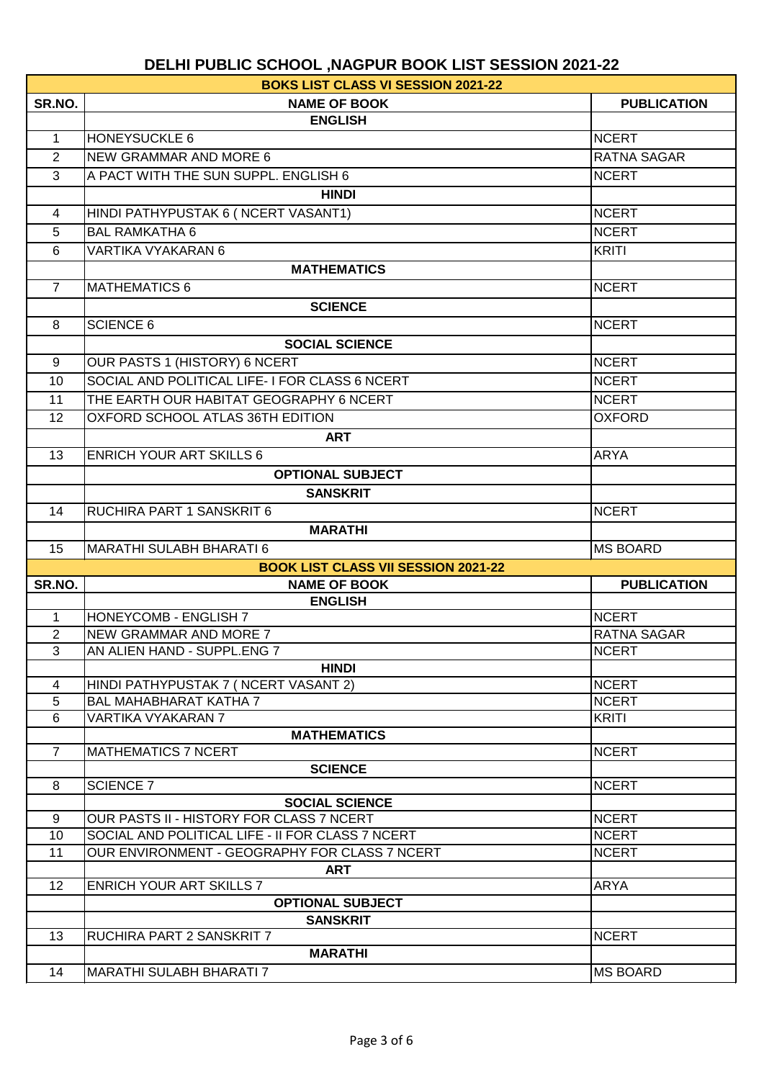|                | <b>BOKS LIST CLASS VI SESSION 2021-22</b>         |                    |
|----------------|---------------------------------------------------|--------------------|
| SR.NO.         | <b>NAME OF BOOK</b>                               | <b>PUBLICATION</b> |
|                | <b>ENGLISH</b>                                    |                    |
| $\mathbf 1$    | <b>HONEYSUCKLE 6</b>                              | <b>NCERT</b>       |
| $\overline{2}$ | <b>NEW GRAMMAR AND MORE 6</b>                     | <b>RATNA SAGAR</b> |
| 3              | A PACT WITH THE SUN SUPPL. ENGLISH 6              | <b>NCERT</b>       |
|                | <b>HINDI</b>                                      |                    |
| 4              | HINDI PATHYPUSTAK 6 ( NCERT VASANT1)              | <b>NCERT</b>       |
| 5              | <b>BAL RAMKATHA 6</b>                             | <b>NCERT</b>       |
| 6              | <b>VARTIKA VYAKARAN 6</b>                         | <b>KRITI</b>       |
|                | <b>MATHEMATICS</b>                                |                    |
| $\overline{7}$ | <b>MATHEMATICS 6</b>                              | <b>NCERT</b>       |
|                | <b>SCIENCE</b>                                    |                    |
| 8              | <b>SCIENCE 6</b>                                  | <b>NCERT</b>       |
|                | <b>SOCIAL SCIENCE</b>                             |                    |
| 9              | OUR PASTS 1 (HISTORY) 6 NCERT                     | <b>NCERT</b>       |
| 10             | SOCIAL AND POLITICAL LIFE-I FOR CLASS 6 NCERT     | <b>NCERT</b>       |
|                | THE EARTH OUR HABITAT GEOGRAPHY 6 NCERT           |                    |
| 11             |                                                   | <b>NCERT</b>       |
| 12             | OXFORD SCHOOL ATLAS 36TH EDITION                  | <b>OXFORD</b>      |
|                | <b>ART</b>                                        |                    |
| 13             | <b>ENRICH YOUR ART SKILLS 6</b>                   | <b>ARYA</b>        |
|                | <b>OPTIONAL SUBJECT</b>                           |                    |
|                | <b>SANSKRIT</b>                                   |                    |
| 14             | RUCHIRA PART 1 SANSKRIT 6                         | <b>NCERT</b>       |
|                | <b>MARATHI</b>                                    |                    |
|                |                                                   |                    |
| 15             | <b>MARATHI SULABH BHARATI 6</b>                   | <b>MS BOARD</b>    |
|                | <b>BOOK LIST CLASS VII SESSION 2021-22</b>        |                    |
| SR.NO.         | <b>NAME OF BOOK</b>                               | <b>PUBLICATION</b> |
|                | <b>ENGLISH</b>                                    |                    |
| 1              | <b>HONEYCOMB - ENGLISH 7</b>                      | <b>NCERT</b>       |
| $\overline{2}$ | <b>NEW GRAMMAR AND MORE 7</b>                     | RATNA SAGAR        |
| 3              | AN ALIEN HAND - SUPPL.ENG 7                       | <b>NCERT</b>       |
|                | <b>HINDI</b>                                      |                    |
| $\overline{4}$ | HINDI PATHYPUSTAK 7 (NCERT VASANT 2)              | <b>NCERT</b>       |
| 5              | <b>BAL MAHABHARAT KATHA 7</b>                     | <b>NCERT</b>       |
| 6              | VARTIKA VYAKARAN 7                                | <b>KRITI</b>       |
| $\overline{7}$ | <b>MATHEMATICS</b><br><b>MATHEMATICS 7 NCERT</b>  | <b>NCERT</b>       |
|                | <b>SCIENCE</b>                                    |                    |
| 8              | <b>SCIENCE 7</b>                                  | <b>NCERT</b>       |
|                | <b>SOCIAL SCIENCE</b>                             |                    |
| 9              | OUR PASTS II - HISTORY FOR CLASS 7 NCERT          | <b>NCERT</b>       |
| 10             | SOCIAL AND POLITICAL LIFE - II FOR CLASS 7 NCERT  | <b>NCERT</b>       |
| 11             | OUR ENVIRONMENT - GEOGRAPHY FOR CLASS 7 NCERT     | <b>NCERT</b>       |
|                | <b>ART</b>                                        |                    |
| 12             | <b>ENRICH YOUR ART SKILLS 7</b>                   | <b>ARYA</b>        |
|                | <b>OPTIONAL SUBJECT</b>                           |                    |
|                | <b>SANSKRIT</b>                                   |                    |
| 13             | <b>RUCHIRA PART 2 SANSKRIT 7</b>                  | <b>NCERT</b>       |
| 14             | <b>MARATHI</b><br><b>MARATHI SULABH BHARATI 7</b> | <b>MS BOARD</b>    |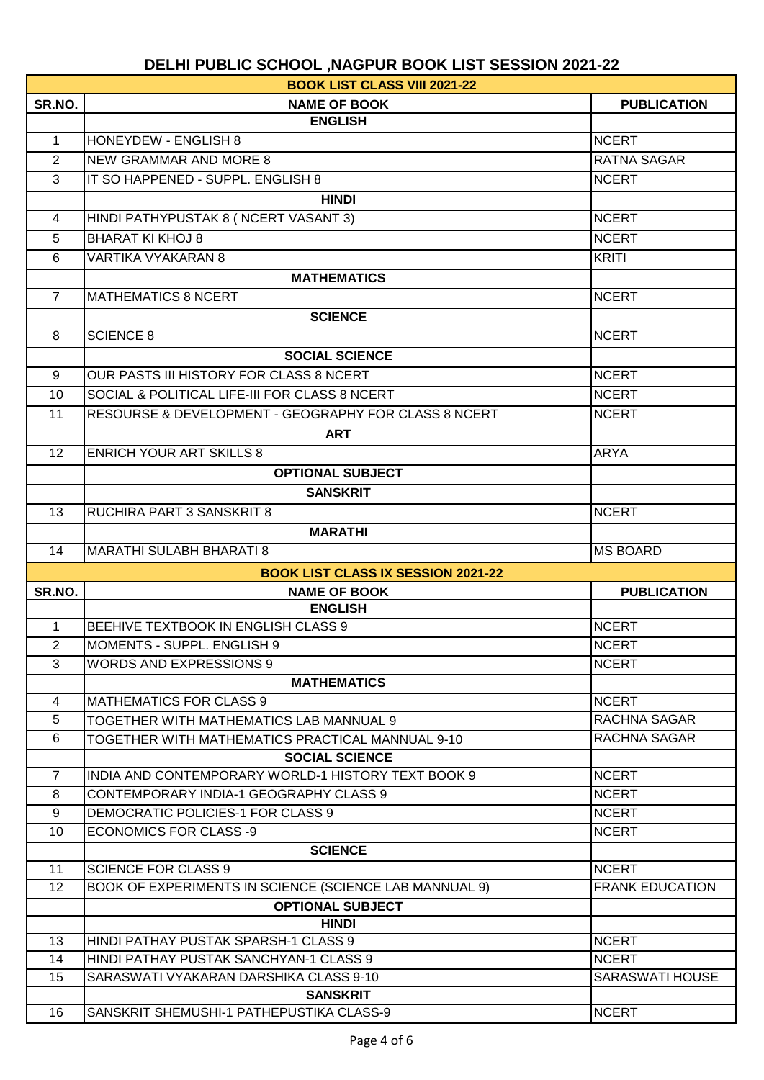|                   | <b>BOOK LIST CLASS VIII 2021-22</b>                    |                        |  |
|-------------------|--------------------------------------------------------|------------------------|--|
| SR.NO.            | <b>NAME OF BOOK</b>                                    | <b>PUBLICATION</b>     |  |
|                   | <b>ENGLISH</b>                                         |                        |  |
| $\mathbf{1}$      | <b>HONEYDEW - ENGLISH 8</b>                            | <b>NCERT</b>           |  |
| $\overline{2}$    | <b>NEW GRAMMAR AND MORE 8</b>                          | RATNA SAGAR            |  |
| 3                 | IT SO HAPPENED - SUPPL, ENGLISH 8                      | <b>NCERT</b>           |  |
|                   | <b>HINDI</b>                                           |                        |  |
| $\overline{4}$    | HINDI PATHYPUSTAK 8 ( NCERT VASANT 3)                  | <b>NCERT</b>           |  |
| 5                 | <b>BHARAT KI KHOJ 8</b>                                | <b>NCERT</b>           |  |
| 6                 | <b>VARTIKA VYAKARAN 8</b>                              | <b>KRITI</b>           |  |
|                   | <b>MATHEMATICS</b>                                     |                        |  |
| $\overline{7}$    | <b>MATHEMATICS 8 NCERT</b>                             | <b>NCERT</b>           |  |
|                   | <b>SCIENCE</b>                                         |                        |  |
| 8                 | <b>SCIENCE 8</b>                                       |                        |  |
|                   |                                                        | <b>NCERT</b>           |  |
|                   | <b>SOCIAL SCIENCE</b>                                  |                        |  |
| 9                 | OUR PASTS III HISTORY FOR CLASS 8 NCERT                | <b>NCERT</b>           |  |
| 10                | SOCIAL & POLITICAL LIFE-III FOR CLASS 8 NCERT          | <b>NCERT</b>           |  |
| 11                | RESOURSE & DEVELOPMENT - GEOGRAPHY FOR CLASS 8 NCERT   | <b>NCERT</b>           |  |
|                   | <b>ART</b>                                             |                        |  |
| $12 \overline{ }$ | <b>ENRICH YOUR ART SKILLS 8</b>                        | <b>ARYA</b>            |  |
|                   | <b>OPTIONAL SUBJECT</b>                                |                        |  |
|                   | <b>SANSKRIT</b>                                        |                        |  |
| 13                | <b>RUCHIRA PART 3 SANSKRIT 8</b>                       | <b>NCERT</b>           |  |
|                   | <b>MARATHI</b>                                         |                        |  |
| 14                | <b>MARATHI SULABH BHARATI 8</b>                        | <b>MS BOARD</b>        |  |
|                   | <b>BOOK LIST CLASS IX SESSION 2021-22</b>              |                        |  |
| SR.NO.            | <b>NAME OF BOOK</b>                                    | <b>PUBLICATION</b>     |  |
|                   | <b>ENGLISH</b>                                         |                        |  |
| $\mathbf 1$       | BEEHIVE TEXTBOOK IN ENGLISH CLASS 9                    | <b>NCERT</b>           |  |
| $\overline{2}$    | MOMENTS - SUPPL. ENGLISH 9                             | <b>NCERT</b>           |  |
| 3                 | <b>WORDS AND EXPRESSIONS 9</b>                         | <b>NCERT</b>           |  |
|                   | <b>MATHEMATICS</b>                                     |                        |  |
| 4                 | <b>IMATHEMATICS FOR CLASS 9</b>                        | <b>NCERT</b>           |  |
| 5                 | TOGETHER WITH MATHEMATICS LAB MANNUAL 9                | RACHNA SAGAR           |  |
| 6                 | TOGETHER WITH MATHEMATICS PRACTICAL MANNUAL 9-10       | RACHNA SAGAR           |  |
|                   | <b>SOCIAL SCIENCE</b>                                  |                        |  |
| $\overline{7}$    | INDIA AND CONTEMPORARY WORLD-1 HISTORY TEXT BOOK 9     | <b>NCERT</b>           |  |
| 8                 | CONTEMPORARY INDIA-1 GEOGRAPHY CLASS 9                 | <b>NCERT</b>           |  |
| 9                 | DEMOCRATIC POLICIES-1 FOR CLASS 9                      | <b>NCERT</b>           |  |
| 10                | <b>ECONOMICS FOR CLASS -9</b>                          | <b>NCERT</b>           |  |
|                   | <b>SCIENCE</b>                                         |                        |  |
| 11                | <b>SCIENCE FOR CLASS 9</b>                             | <b>NCERT</b>           |  |
| 12                | BOOK OF EXPERIMENTS IN SCIENCE (SCIENCE LAB MANNUAL 9) | <b>FRANK EDUCATION</b> |  |
|                   | <b>OPTIONAL SUBJECT</b>                                |                        |  |
|                   | <b>HINDI</b>                                           |                        |  |
| 13                | HINDI PATHAY PUSTAK SPARSH-1 CLASS 9                   | <b>NCERT</b>           |  |
| 14                | HINDI PATHAY PUSTAK SANCHYAN-1 CLASS 9                 | <b>NCERT</b>           |  |
| 15                | SARASWATI VYAKARAN DARSHIKA CLASS 9-10                 | SARASWATI HOUSE        |  |
|                   | <b>SANSKRIT</b>                                        |                        |  |
| 16                | SANSKRIT SHEMUSHI-1 PATHEPUSTIKA CLASS-9               | <b>NCERT</b>           |  |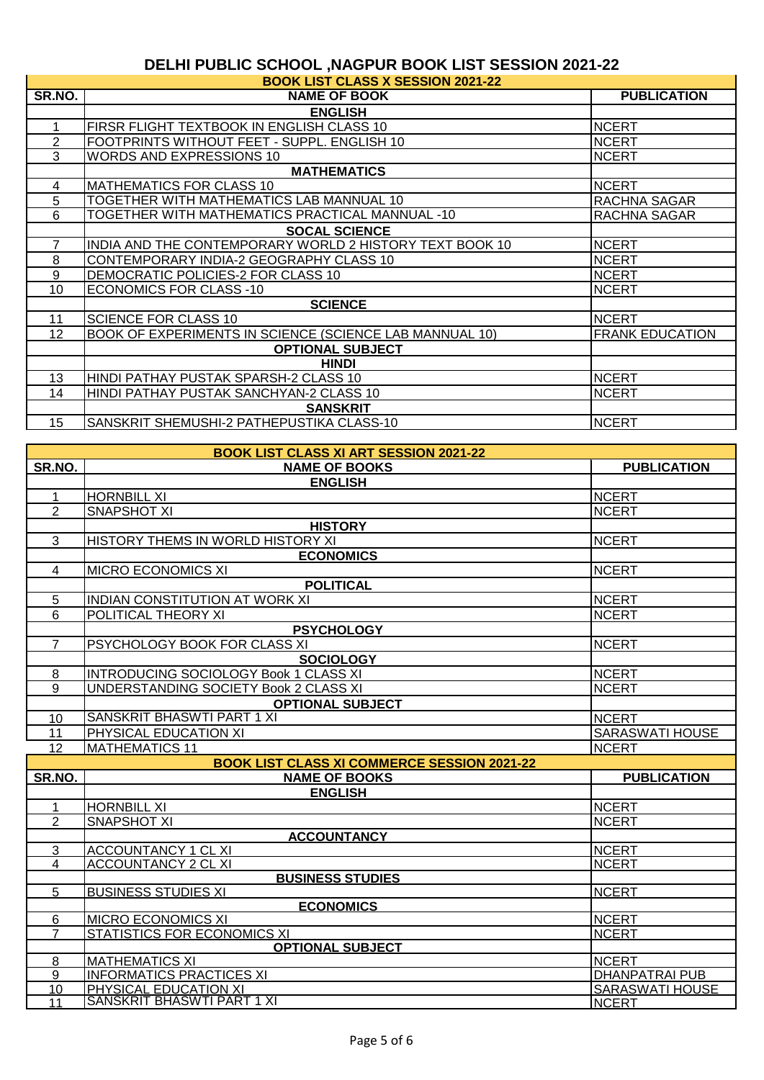|                 | <b>BOOK LIST CLASS X SESSION 2021-22</b>                |                        |
|-----------------|---------------------------------------------------------|------------------------|
| SR.NO.          | <b>NAME OF BOOK</b>                                     | <b>PUBLICATION</b>     |
|                 | <b>ENGLISH</b>                                          |                        |
|                 | FIRSR FLIGHT TEXTBOOK IN ENGLISH CLASS 10               | <b>NCERT</b>           |
| 2               | FOOTPRINTS WITHOUT FEET - SUPPL. ENGLISH 10             | <b>NCERT</b>           |
| 3               | <b>WORDS AND EXPRESSIONS 10</b>                         | <b>NCERT</b>           |
|                 | <b>MATHEMATICS</b>                                      |                        |
| 4               | MATHEMATICS FOR CLASS 10                                | <b>NCERT</b>           |
| 5               | TOGETHER WITH MATHEMATICS LAB MANNUAL 10                | RACHNA SAGAR           |
| 6               | TOGETHER WITH MATHEMATICS PRACTICAL MANNUAL -10         | RACHNA SAGAR           |
|                 | <b>SOCAL SCIENCE</b>                                    |                        |
|                 | INDIA AND THE CONTEMPORARY WORLD 2 HISTORY TEXT BOOK 10 | <b>NCERT</b>           |
| 8               | CONTEMPORARY INDIA-2 GEOGRAPHY CLASS 10                 | <b>NCERT</b>           |
| 9               | DEMOCRATIC POLICIES-2 FOR CLASS 10                      | <b>NCERT</b>           |
| 10              | <b>ECONOMICS FOR CLASS -10</b>                          | <b>NCERT</b>           |
|                 | <b>SCIENCE</b>                                          |                        |
| 11              | <b>SCIENCE FOR CLASS 10</b>                             | <b>NCERT</b>           |
| 12 <sup>2</sup> | BOOK OF EXPERIMENTS IN SCIENCE (SCIENCE LAB MANNUAL 10) | <b>FRANK EDUCATION</b> |
|                 | <b>OPTIONAL SUBJECT</b>                                 |                        |
|                 | <b>HINDI</b>                                            |                        |
| 13              | HINDI PATHAY PUSTAK SPARSH-2 CLASS 10                   | <b>NCERT</b>           |
| 14              | HINDI PATHAY PUSTAK SANCHYAN-2 CLASS 10                 | <b>NCERT</b>           |
|                 | <b>SANSKRIT</b>                                         |                        |
| 15              | SANSKRIT SHEMUSHI-2 PATHEPUSTIKA CLASS-10               | <b>NCERT</b>           |

|                                  | <b>BOOK LIST CLASS XI ART SESSION 2021-22</b>                   |                        |
|----------------------------------|-----------------------------------------------------------------|------------------------|
| SR.NO.                           | <b>NAME OF BOOKS</b>                                            | <b>PUBLICATION</b>     |
|                                  | <b>ENGLISH</b>                                                  |                        |
| 1                                | <b>HORNBILL XI</b>                                              | <b>NCERT</b>           |
| $\overline{2}$                   | <b>SNAPSHOT XI</b>                                              | <b>NCERT</b>           |
|                                  | <b>HISTORY</b>                                                  |                        |
| 3                                | HISTORY THEMS IN WORLD HISTORY XI                               | <b>NCERT</b>           |
|                                  | <b>ECONOMICS</b>                                                |                        |
| 4                                | <b>MICRO ECONOMICS XI</b>                                       | <b>NCERT</b>           |
|                                  | <b>POLITICAL</b>                                                |                        |
| 5                                | INDIAN CONSTITUTION AT WORK XI                                  | <b>NCERT</b>           |
| 6                                | POLITICAL THEORY XI                                             | <b>NCERT</b>           |
|                                  | <b>PSYCHOLOGY</b>                                               |                        |
| $\overline{7}$                   | PSYCHOLOGY BOOK FOR CLASS XI                                    | <b>NCERT</b>           |
|                                  | <b>SOCIOLOGY</b>                                                |                        |
| 8                                | INTRODUCING SOCIOLOGY Book 1 CLASS XI                           | <b>NCERT</b>           |
| 9                                | UNDERSTANDING SOCIETY Book 2 CLASS XI                           | <b>NCERT</b>           |
|                                  | <b>OPTIONAL SUBJECT</b>                                         |                        |
| 10                               | <b>SANSKRIT BHASWTI PART 1 XI</b>                               | <b>NCERT</b>           |
| 11                               | PHYSICAL EDUCATION XI                                           | <b>SARASWATI HOUSE</b> |
| $\overline{12}$                  | <b>MATHEMATICS 11</b>                                           | <b>NCERT</b>           |
|                                  | <b>BOOK LIST CLASS XI COMMERCE SESSION 2021-22</b>              |                        |
| SR.NO.                           | <b>NAME OF BOOKS</b>                                            | <b>PUBLICATION</b>     |
|                                  | <b>ENGLISH</b>                                                  |                        |
| 1                                | <b>HORNBILL XI</b>                                              | <b>NCERT</b>           |
| $\overline{2}$                   | <b>SNAPSHOT XI</b>                                              | <b>NCERT</b>           |
|                                  | <b>ACCOUNTANCY</b>                                              |                        |
| 3                                | <b>ACCOUNTANCY 1 CL XI</b>                                      | <b>NCERT</b>           |
| 4                                | <b>ACCOUNTANCY 2 CL XI</b>                                      | <b>NCERT</b>           |
|                                  | <b>BUSINESS STUDIES</b>                                         |                        |
| 5                                | <b>BUSINESS STUDIES XI</b>                                      | <b>NCERT</b>           |
|                                  | <b>ECONOMICS</b>                                                |                        |
| $6\phantom{1}$<br>$\overline{7}$ | <b>MICRO ECONOMICS XI</b><br><b>STATISTICS FOR ECONOMICS XI</b> | <b>NCERT</b>           |
|                                  | <b>OPTIONAL SUBJECT</b>                                         | <b>NCERT</b>           |
| 8                                | <b>MATHEMATICS XI</b>                                           | <b>NCERT</b>           |
| 9                                | <b>INFORMATICS PRACTICES XI</b>                                 | <b>DHANPATRAI PUB</b>  |
| 10                               | PHYSICAL EDUCATION XI                                           | <b>SARASWATI HOUSE</b> |
| 11                               | <b>SANSKRIT BHASWTI PART 1 XI</b>                               | <b>NCERT</b>           |